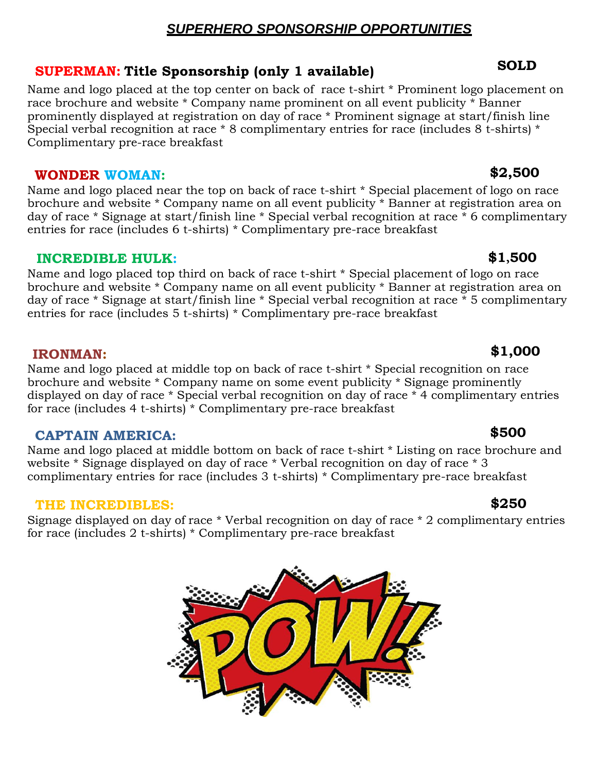## *SUPERHERO SPONSORSHIP OPPORTUNITIES*

## **SUPERMAN: Title Sponsorship (only 1 available) SOLD**

Name and logo placed at the top center on back of race t-shirt \* Prominent logo placement on race brochure and website \* Company name prominent on all event publicity \* Banner prominently displayed at registration on day of race \* Prominent signage at start/finish line Special verbal recognition at race \* 8 complimentary entries for race (includes 8 t-shirts) \* Complimentary pre-race breakfast

## **WONDER WOMAN: \$2,500**

Name and logo placed near the top on back of race t-shirt \* Special placement of logo on race brochure and website \* Company name on all event publicity \* Banner at registration area on day of race \* Signage at start/finish line \* Special verbal recognition at race \* 6 complimentary entries for race (includes 6 t-shirts) \* Complimentary pre-race breakfast

## **INCREDIBLE HULK: \$1,500**

Name and logo placed top third on back of race t-shirt \* Special placement of logo on race brochure and website \* Company name on all event publicity \* Banner at registration area on day of race \* Signage at start/finish line \* Special verbal recognition at race \* 5 complimentary entries for race (includes 5 t-shirts) \* Complimentary pre-race breakfast

## **IRONMAN: \$1,000**

Name and logo placed at middle top on back of race t-shirt \* Special recognition on race brochure and website \* Company name on some event publicity \* Signage prominently displayed on day of race \* Special verbal recognition on day of race \* 4 complimentary entries for race (includes 4 t-shirts) \* Complimentary pre-race breakfast

## **CAPTAIN AMERICA: \$500**

Name and logo placed at middle bottom on back of race t-shirt \* Listing on race brochure and website \* Signage displayed on day of race \* Verbal recognition on day of race \* 3 complimentary entries for race (includes 3 t-shirts) \* Complimentary pre-race breakfast

## **THE INCREDIBLES: \$250**

Signage displayed on day of race \* Verbal recognition on day of race \* 2 complimentary entries for race (includes 2 t-shirts) \* Complimentary pre-race breakfast